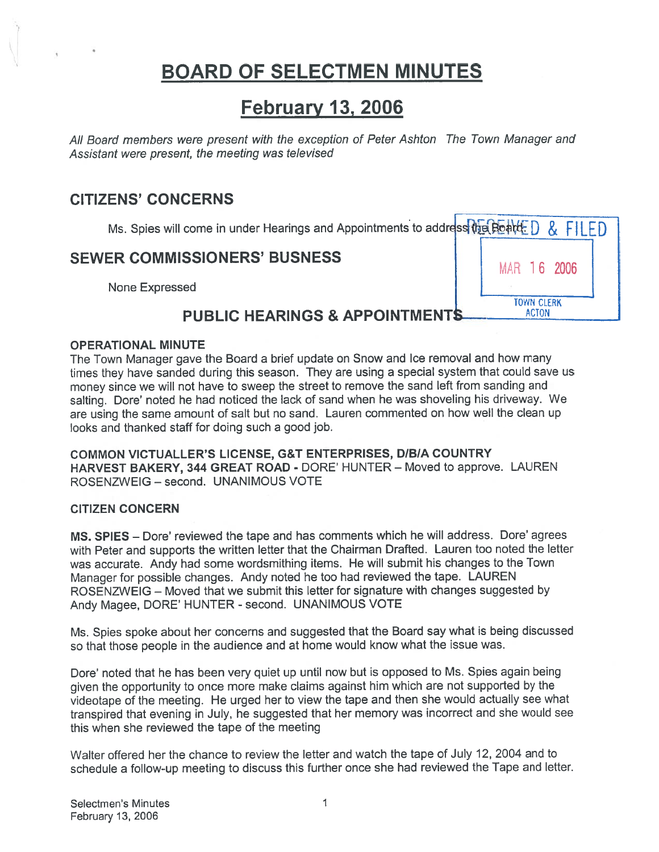# BOARD OF SELECTMEN MINUTES

## February 13, 2006

All Board members were presen<sup>t</sup> with the exception of Peter Ashton The Town Manager and Assistant were present, the meeting was televised **BOARD OF SELECTMEN MINUTES**<br> **February 13, 2006**<br>
February 13, 2006<br>
February 13, 2006<br>
The Town Manager and<br>
The Town Manager and<br>
ENS' CONCERNS<br>
Ms. Spies will come in under Hearings and Appointments to address<br>
The COM

### CITIZENS' CONCERNS

Ms. Spies will come in under Hearings and Appointments to address the Board D & FILED

**TOWN CLERK** 

**ACTON** 

# SEWER COMMISSIONERS' BUSNESS **16 NATE 16 2006**

### PUBLIC HEARINGS & APPOINTMENT

### OPERATIONAL MINUTE

The Town Manager gave the Board <sup>a</sup> brief update on Snow and Ice removal and how many times they have sanded during this season. They are using <sup>a</sup> special system that could save us money since we will not have to sweep the street to remove the sand left from sanding and salting. Dore' noted he had noticed the lack of sand when he was shoveling his driveway. We are using the same amount of salt but no sand. Lauren commented on how well the clean up looks and thanked staff for doing such <sup>a</sup> good job.

COMMON VICTUALLER'S LICENSE, G&T ENTERPRISES, DIBIA COUNTRY HARVEST BAKERY, 344 GREAT ROAD - DORE' HUNTER — Moved to approve. LAUREN ROSENZWEIG — second. UNANIMOUS VOTE

### CITIZEN CONCERN

MS. SPIES — Dore' reviewed the tape and has comments which he will address. Dore' agrees with Peter and supports the written letter that the Chairman Drafted. Lauren too noted the letter was accurate. Andy had some wordsmithing items. He will submit his changes to the Town Manager for possible changes. Andy noted he too had reviewed the tape. LAUREN ROSENZWEIG — Moved that we submit this letter for signature with changes suggested by Andy Magee, DORE' HUNTER - second. UNANIMOUS VOTE

Ms. Spies spoke about her concerns and suggested that the Board say what is being discussed so that those people in the audience and at home would know what the issue was.

Dore' noted that he has been very quiet up until now but is opposed to Ms. Spies again being <sup>g</sup>iven the opportunity to once more make claims against him which are not supported by the videotape of the meeting. He urge<sup>d</sup> her to view the tape and then she would actually see what transpired that evening in July, he suggested that her memory was incorrect and she would see this when she reviewed the tape of the meeting

Walter offered her the chance to review the letter and watch the tape of July 12, 2004 and to schedule <sup>a</sup> follow-up meeting to discuss this further once she had reviewed the Tape and letter.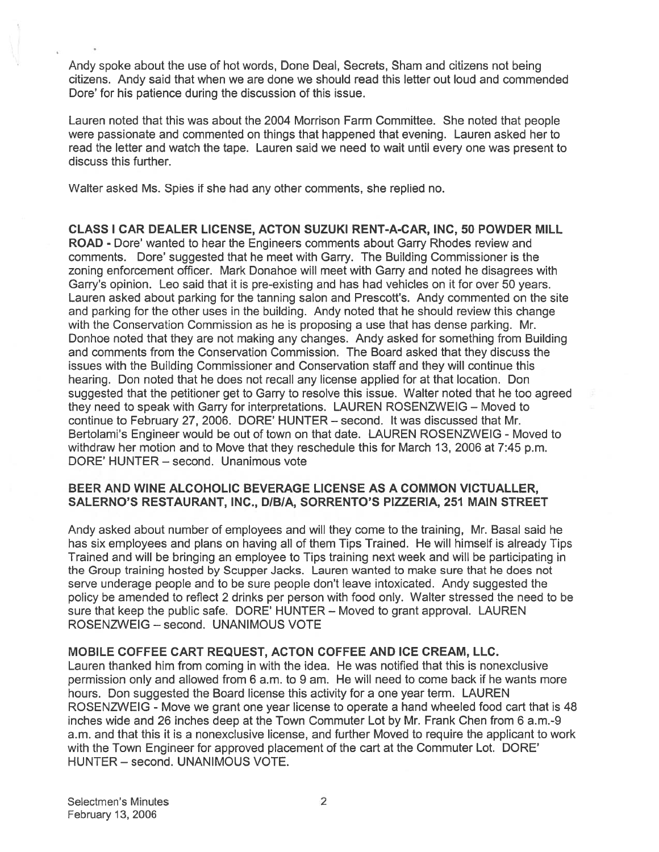Andy spoke about the use of hot words, Done Deal, Secrets, Sham and citizens not being citizens. Andy said that when we are done we should read this letter out loud and commended Dore' for his patience during the discussion of this issue.

Lauren noted that this was about the 2004 Morrison Farm Committee. She noted that people were passionate and commented on things that happened that evening. Lauren asked her to read the letter and watch the tape. Lauren said we need to wait until every one was presen<sup>t</sup> to discuss this further.

Walter asked Ms. Spies if she had any other comments, she replied no.

CLASS I CAR DEALER LICENSE, ACTON SUZUKI RENT-A-CAR, INC, 50 POWDER MILL ROAD - Dore' wanted to hear the Engineers comments about Garry Rhodes review and comments. Dote' suggested that he meet with Garry. The Building Commissioner is the zoning enforcement officer. Mark Donahoe will meet with Garry and noted he disagrees with Garry's opinion. Leo said that it is pre-existing and has had vehicles on it for over 50 years. Lauren asked about parking for the tanning salon and Prescott's. Andy commented on the site and parking for the other uses in the building. Andy noted that he should review this change with the Conservation Commission as he is proposing <sup>a</sup> use that has dense parking. Mr. Donhoe noted that they are not making any changes. Andy asked for something from Building and comments from the Conservation Commission. The Board asked that they discuss the issues with the Building Commissioner and Conservation staff and they will continue this hearing. Don noted that he does not recall any license applied for at that location. Don suggested that the petitioner ge<sup>t</sup> to Garry to resolve this issue. Walter noted that he too agreed they need to speak with Garry for interpretations. LAUREN ROSENZWEIG — Moved to continue to February 27, 2006. DORE' HUNTER — second. It was discussed that Mr. Bertolami's Engineer would be out of town on that date. LAUREN ROSENZWEIG - Moved to withdraw her motion and to Move that they reschedule this for March 13, 2006 at 7:45 p.m. DORE' HUNTER — second. Unanimous vote

### BEER AND WINE ALCOHOLIC BEVERAGE LICENSE AS A COMMON VICTUALLER, SALERNO'S RESTAURANT, INC., DIBIA, SORRENTO'S PIZZERIA, 251 MAIN STREET

Andy asked about number of employees and will they come to the training, Mr. Basal said he has six employees and plans on having all of them Tips Trained. He will himself is already Tips Trained and will be bringing an employee to Tips training next week and will be participating in the Group training hosted by Scupper Jacks. Lauren wanted to make sure that he does not serve underage people and to be sure people don't leave intoxicated. Andy suggested the policy be amended to reflect 2 drinks per person with food only. Walter stressed the need to be sure that keep the public safe. DORE' HUNTER — Moved to gran<sup>t</sup> approval. LAUREN ROSENZWEIG — second. UNANIMOUS VOTE

### MOBILE COFFEE CART REQUEST, ACTON COFFEE AND ICE CREAM, LLC.

Lauren thanked him from coming in with the idea. He was notified that this is nonexclusive permission only and allowed from 6 a.m. to 9 am. He will need to come back if he wants more hours. Don suggested the Board license this activity for <sup>a</sup> one year term. LAUREN ROSENZWEIG - Move we gran<sup>t</sup> one year license to operate <sup>a</sup> hand wheeled food cart that is 48 inches wide and 26 inches deep at the Town Commuter Lot by Mr. Frank Chen from 6 a.m.-9 a.m. and that this it is <sup>a</sup> nonexclusive license, and further Moved to require the applicant to work with the Town Engineer for approved placement of the cart at the Commuter Lot. DORE' HUNTER — second. UNANIMOUS VOTE.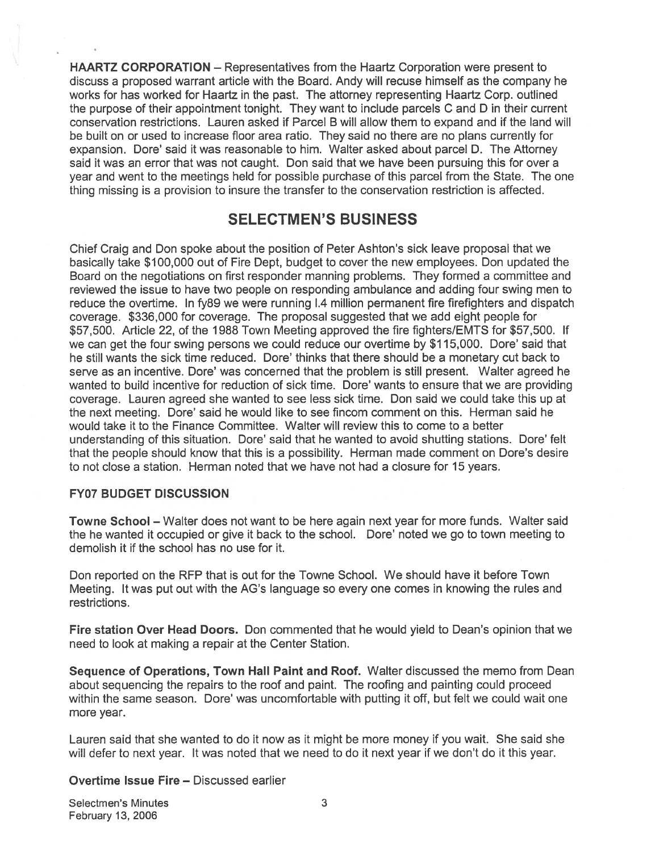HAARTZ CORPORATION — Representatives from the Haartz Corporation were presen<sup>t</sup> to discuss <sup>a</sup> proposed warrant article with the Board. Andy will recuse himself as the company he works for has worked for Haartz in the past. The attorney representing Haartz Corp. outlined the purpose of their appointment tonight. They want to include parcels C and D in their current conservation restrictions. Lauren asked if Parcel B will allow them to expand and if the land will be built on or used to increase floor area ratio. They said no there are no plans currently for expansion. Dore' said it was reasonable to him. Walter asked about parcel D. The Attorney said it was an error that was not caught. Don said that we have been pursuing this for over <sup>a</sup> year and went to the meetings held for possible purchase of this parcel from the State. The one thing missing is <sup>a</sup> provision to insure the transfer to the conservation restriction is affected.

### SELECTMEN'S BUSINESS

Chief Craig and Don spoke about the position of Peter Ashton's sick leave proposal that we basically take \$100,000 out of Fire Dept, budget to cover the new employees. Don updated the Board on the negotiations on first responder manning problems. They formed <sup>a</sup> committee and reviewed the issue to have two people on responding ambulance and adding four swing men to reduce the overtime. In fy89 we were running 1.4 million permanen<sup>t</sup> fire firefighters and dispatch coverage. \$336,000 for coverage. The proposal suggested that we add eight people for \$57,500. Article 22, of the 1988 Town Meeting approved the fire fighters/EMTS for \$57,500. If we can ge<sup>t</sup> the four swing persons we could reduce our overtime by \$1 15,000. Dore' said that he still wants the sick time reduced. Dore' thinks that there should be <sup>a</sup> monetary cut back to serve as an incentive. Dore' was concerned that the problem is still present. Walter agreed he wanted to build incentive for reduction of sick time. Dore' wants to ensure that we are providing coverage. Lauren agreed she wanted to see less sick time. Don said we could take this up at the next meeting. Dore' said he would like to see fincom comment on this. Herman said he would take it to the Finance Committee. Walter will review this to come to <sup>a</sup> better understanding of this situation. Dore' said that he wanted to avoid shutting stations. Dore' felt that the people should know that this is <sup>a</sup> possibility. Herman made comment on Dore's desire to not close <sup>a</sup> station. Herman noted that we have not had <sup>a</sup> closure for 15 years.

### FY07 BUDGET DISCUSSION

Towne School — Walter does not want to be here again next year for more funds. Walter said the he wanted it occupied or give it back to the school. Dore' noted we go to town meeting to demolish it if the school has no use for it.

Don reported on the RFP that is out for the Towne School. We should have it before Town Meeting. It was pu<sup>t</sup> out with the AG's language so every one comes in knowing the rules and restrictions.

Fire station Over Head Doors. Don commented that he would yield to Dean's opinion that we need to look at making <sup>a</sup> repair at the Center Station.

Sequence of Operations, Town Hall Paint and Roof. Walter discussed the memo from Dean about sequencing the repairs to the roof and paint. The roofing and painting could proceed within the same season. Dore' was uncomfortable with putting it off, but felt we could wait one more year.

Lauren said that she wanted to do it now as it might be more money if you wait. She said she will defer to next year. It was noted that we need to do it next year if we don't do it this year.

### Overtime Issue Fire — Discussed earlier

Selectmen's Minutes 3 February 13, 2006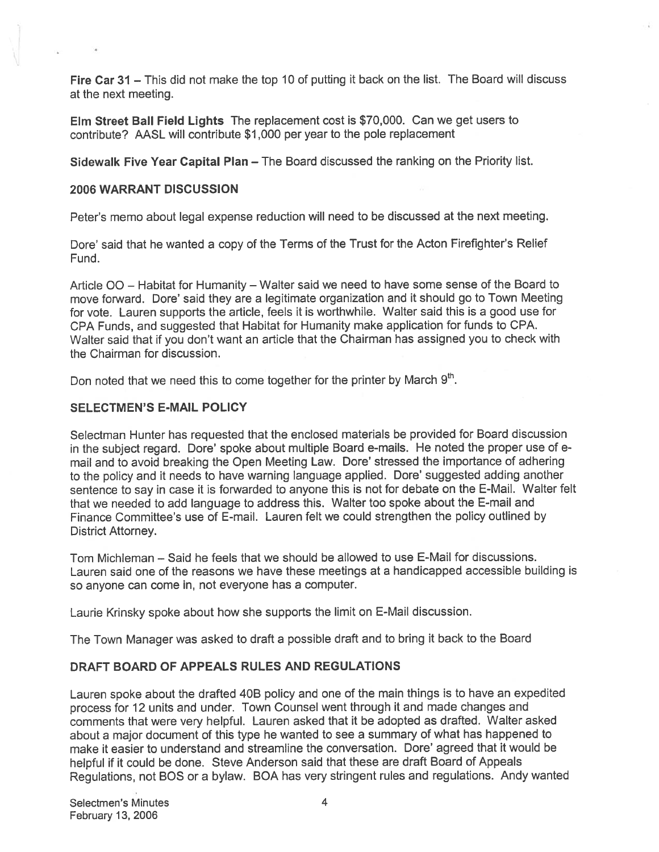Fire Car 31 – This did not make the top 10 of putting it back on the list. The Board will discuss at the next meeting.

Elm Street Ball Field Lights The replacement cost is \$70,000. Can we ge<sup>t</sup> users to contribute? AASL will contribute \$1,000 per year to the pole replacement

Sidewalk Five Year Capital Plan — The Board discussed the ranking on the Priority list.

### 2006 WARRANT DISCUSSION

Peter's memo about legal expense reduction will need to be discussed at the next meeting.

Dore' said that he wanted <sup>a</sup> copy of the Terms of the Trust for the Acton Firefighter's Relief Fund.

Article 00 — Habitat for Humanity — Walter said we need to have some sense of the Board to move forward. Dore' said they are <sup>a</sup> legitimate organization and it should go to Town Meeting for vote. Lauren supports the article, feels it is worthwhile. Walter said this is <sup>a</sup> good use for CPA Funds, and suggested that Habitat for Humanity make application for funds to CPA. Walter said that if you don't want an article that the Chairman has assigned you to check with the Chairman for discussion.

Don noted that we need this to come together for the printer by March  $9<sup>th</sup>$ .

### SELECTMEN'S E-MAIL POLICY

Selectman Hunter has requested that the enclosed materials be provided for Board discussion in the subject regard. Dore' spoke about multiple Board e-mails. He noted the proper use of <sup>e</sup> mail and to avoid breaking the Open Meeting Law. Dore' stressed the importance of adhering to the policy and it needs to have warning language applied. Dore' suggested adding another sentence to say in case it is forwarded to anyone this is not for debate on the E-Mail. Walter felt that we needed to add language to address this. Walter too spoke about the E-mail and Finance Committee's use of E-mail. Lauren felt we could strengthen the policy outlined by District Attorney.

Tom Michleman — Said he feels that we should be allowed to use E-Mail for discussions. Lauren said one of the reasons we have these meetings at <sup>a</sup> handicapped accessible building is so anyone can come in, not everyone has <sup>a</sup> computer.

Laurie Krinsky spoke about how she supports the limit on E-Mail discussion.

The Town Manager was asked to draft <sup>a</sup> possible draft and to bring it back to the Board

### DRAFT BOARD OF APPEALS RULES AND REGULATIONS

Lauren spoke about the drafted 4DB policy and one of the main things is to have an expedited process for <sup>12</sup> units and under. Town Counsel went through it and made changes and comments that were very helpful. Lauren asked that it be adopted as drafted. Walter asked about <sup>a</sup> major document of this type he wanted to see <sup>a</sup> summary of what has happened to make it easier to understand and streamline the conversation. Dore' agreed that it would be helpful if it could be done. Steve Anderson said that these are draft Board of Appeals Regulations, not EQS or <sup>a</sup> bylaw. BOA has very stringent rules and regulations. Andy wanted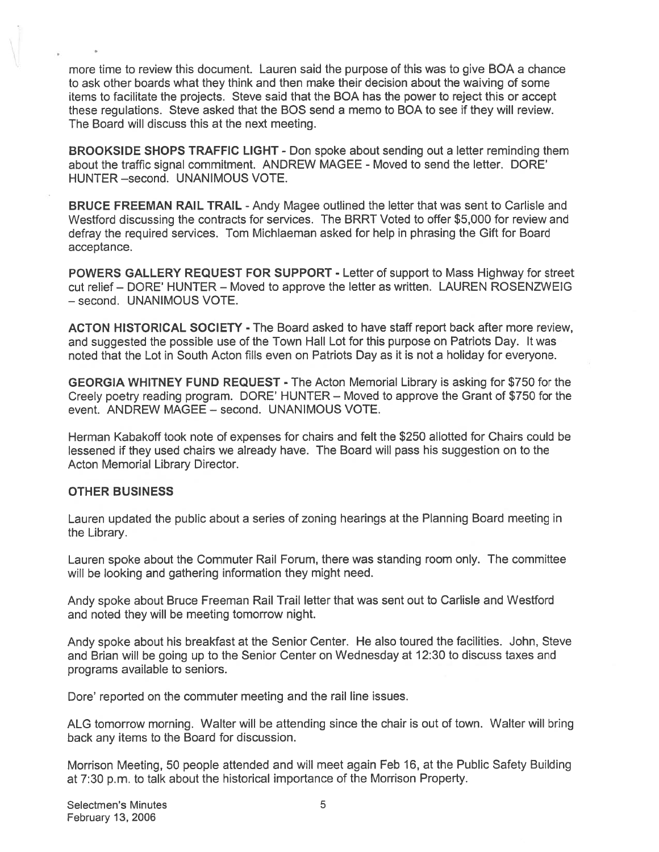more time to review this document. Lauren said the purpose of this was to give BOA <sup>a</sup> chance to ask other boards what they think and then make their decision about the waiving of some items to facilitate the projects. Steve said that the BOA has the power to reject this or accep<sup>t</sup> these regulations. Steve asked that the BOS send <sup>a</sup> memo to BOA to see if they will review. The Board will discuss this at the next meeting.

BROOKSIDE SHOPS TRAFFIC LIGHT - Don spoke about sending out <sup>a</sup> letter reminding them about the traffic signal commitment. ANDREW MAGEE - Moved to send the letter. DORE' HUNTER —second. UNANIMOUS VOTE.

BRUCE FREEMAN RAIL TRAIL - Andy Magee outlined the letter that was sent to Carlisle and Westford discussing the contracts for services. The BRRT Voted to offer \$5,000 for review and defray the required services. Tom Michlaeman asked for help in phrasing the Gift for Board acceptance.

POWERS GALLERY REQUEST FOR SUPPORT - Letter of suppor<sup>t</sup> to Mass Highway for street cut relief — DORE' HUNTER — Moved to approve the letter as written. LAUREN ROSENZWEIG — second. UNANIMOUS VOTE.

ACTON HISTORICAL SOCIETY - The Board asked to have staff repor<sup>t</sup> back after more review, and suggested the possible use of the Town Hall Lot for this purpose on Patriots Day. It was noted that the Lot in South Acton fills even on Patriots Day as it is not <sup>a</sup> holiday for everyone.

GEORGIA WHITNEY FUND REQUEST - The Acton Memorial Library is asking for \$750 for the Creely poetry reading program. DORE' HUNTER — Moved to approve the Grant of \$750 for the event. ANDREW MAGEE — second. UNANIMOUS VOTE.

Herman Kabakoff took note of expenses for chairs and felt the \$250 allotted for Chairs could be lessened if they used chairs we already have. The Board will pass his suggestion on to the Acton Memorial Library Director.

### OTHER BUSINESS

Lauren updated the public about <sup>a</sup> series of zoning hearings at the Planning Board meeting in the Library.

Lauren spoke about the Commuter Rail Forum, there was standing room only. The committee will be looking and gathering information they might need.

Andy spoke about Bruce Freeman Rail Trail letter that was sent out to Carlisle and Westford and noted they will be meeting tomorrow night.

Andy spoke about his breakfast at the Senior Center. He also toured the facilities. John, Steve and Brian will be going up to the Senior Center on Wednesday at 12:30 to discuss taxes and programs available to seniors.

Dore' reported on the commuter meeting and the rail line issues.

ALG tomorrow morning. Walter will be attending since the chair is out of town. Walter will bring back any items to the Board for discussion.

Morrison Meeting, 50 people attended and will meet again Feb 16, at the Public Safety Building at 7:30 p.m. to talk about the historical importance of the Morrison Property.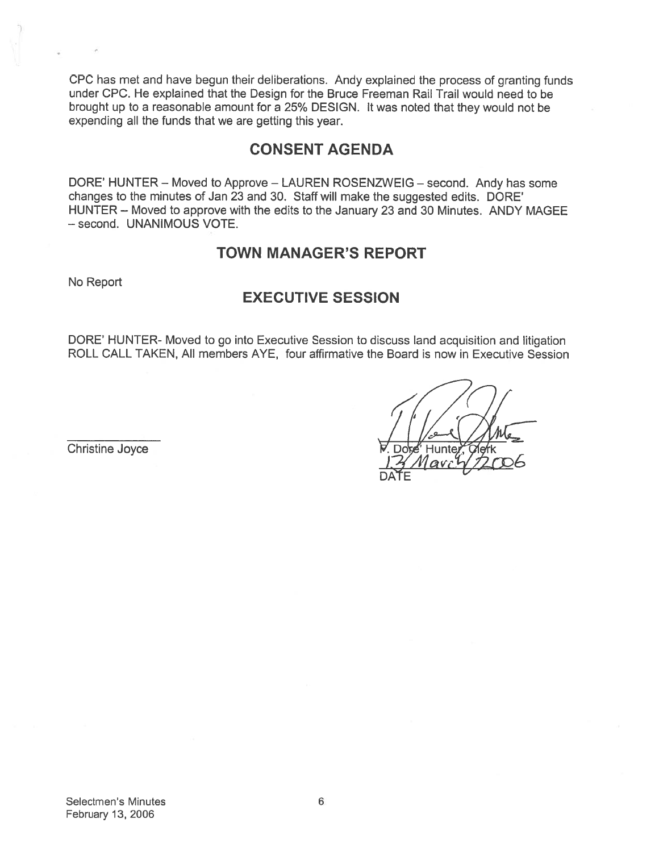CPC has met and have begun their deliberations. Andy explained the process of granting funds under CPC. He explained that the Design for the Bruce Freeman Rail Trail would need to be brought up to <sup>a</sup> reasonable amount for <sup>a</sup> 25% DESIGN. It was noted that they would not be expending all the funds that we are getting this year.

### CONSENT AGENDA

DORE' HUNTER — Moved to Approve — LAUREN ROSENZWEIG — second. Andy has some changes to the minutes of Jan 23 and 30. Staff will make the suggested edits. DORE' HUNTER — Moved to approve with the edits to the January 23 and 30 Minutes. ANDY MAGEE — second. UNANIMOUS VOTE.

### TOWN MANAGER'S REPORT

No Report

### EXECUTIVE SESSION

DORE' HUNTER- Moved to go into Executive Session to discuss land acquisition and litigation ROLL CALL TAKEN, All members AYE, four affirmative the Board is now in Executive Session

Christine Joyce  $\mathbb{V}$ , Dove Hunter V,  $\mathbb{V}$ ,  $\mathbb{V}$  Hunter  $\mathbb{V}$ ,  $\mathbb{V}$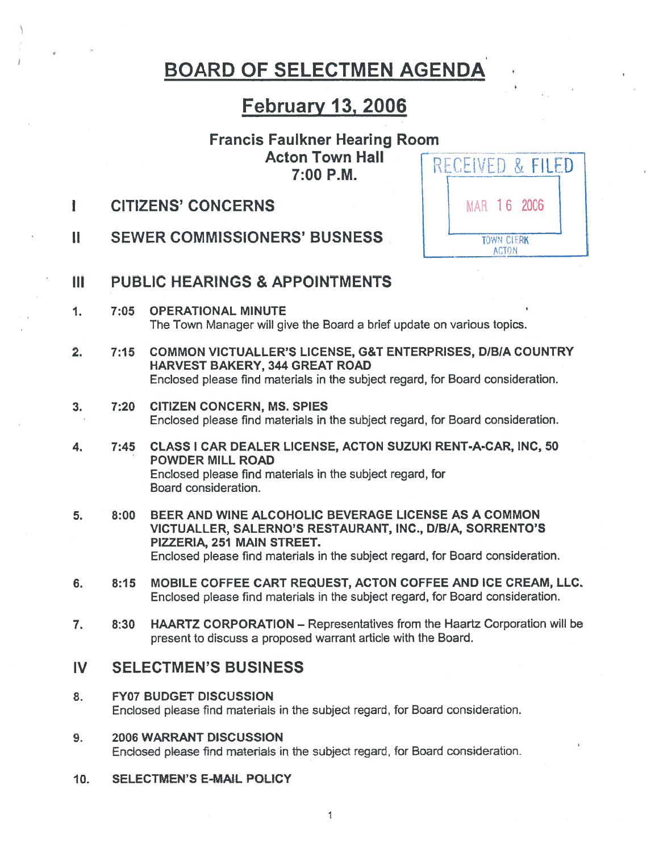# BOARD OF SELECTMEN AGENDA

### February 13, 2006

#### Francis Faulkner Hearing Room Acton Town Hall RECEIVED & FILED 7:00 P.M.

MAR 16 2006

**TOWN CLERK ACTON** 

- I CITIZENS' CONCERNS
- II SEWER COMMISSIONERS' BUSNESS.
- III PUBLiC HEARINGS & APPOINTMENTS
- 1. 7:05 OPERATIONAL MINUTE The Town Manager will give the Board <sup>a</sup> brief update on various topics.
- 2. 7:15 COMMON VICTUALLER'S LICENSE, G&T ENTERPRISES, D/B/A COUNTRY HARVEST BAKERY, 344 GREAT ROAD Enclosed please find materials in the subject regard, for Board consideration.
- 3. 7:20 CITIZEN CONCERN, MS. SPIES Enclosed please find materials in the subject regard, for Board consideration.
- 4. 7:45 CLASS I CAR DEALER LICENSE, ACTON SUZUKI RENT-A-CAR, INC, 50 POWDER MILL ROAD Enclosed please find materials in the subject regard, for Board consideration.
- 5. 8:00 BEER AND WINE ALCOHOLIC BEVERAGE LICENSE AS A COMMON VICTUALLER, SALERNO'S RESTAURANT, INC., DIBIA, SORRENTO'S PIZZERIA, 251 MAIN STREET. Enclosed please find materials in the subject regard, for Board consideration.
- 6. 8:15 MOBILE COFFEE CART REQUEST, ACTON COFFEE AND ICE CREAM, LLC. Enclosed please find materials in the subject regard, for Board consideration.
- 7. 8:30 HAARTZ CORPORATION Representatives from the Haartz Corporation will be presen<sup>t</sup> to discuss <sup>a</sup> proposed warrant article with the Board.

### IV SELECTMEN'S BUSINESS

- 8. FY07 BUDGET DISCUSSION Enclosed please find materials in the subject regard, for Board consideration.
- 9. 2006 WARRANT DISCUSSION Enclosed please find materials in the subject regard, for Board consideration.
- 10. SELECTMEN'S E-MAIL POLICY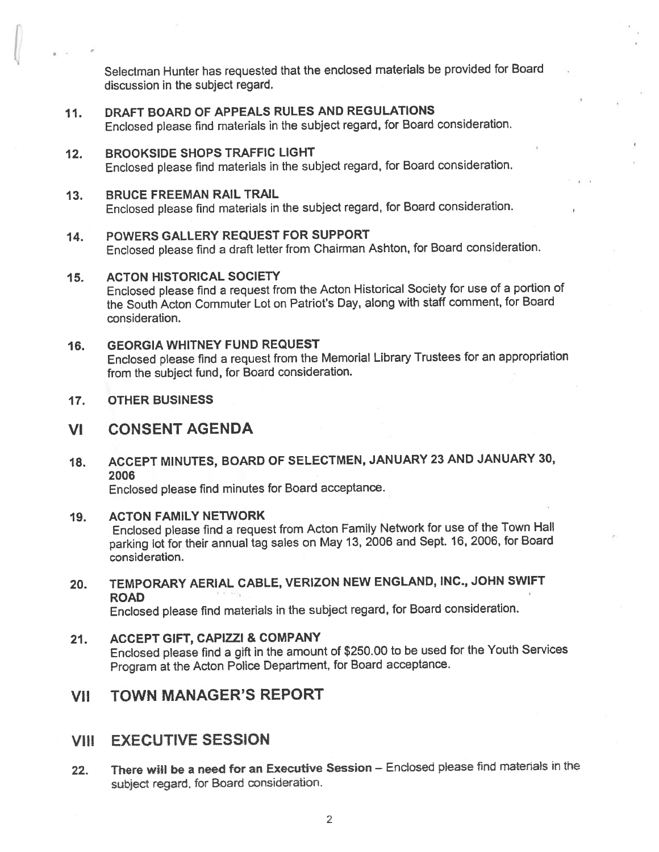Selectman Hunter has requested that the enclosed materials be provided for Board discussion in the subject regard.

- 11. DRAFT BOARD OF APPEALS RULES AND REGULATIONS Enclosed <sup>p</sup>lease find materials in the subject regard, for Board consideration.
- 12. BROOKSIDE SHOPS TRAFFIC LIGHT Enclosed <sup>p</sup>lease find materials in the subject regard, for Board consideration.
- 13. BRUCE FREEMAN RAIL TRAIL Enclosed <sup>p</sup>lease find materials in the subject regard, for Board consideration.

### 14. POWERS GALLERY REQUEST FOR SUPPORT Enclosed <sup>p</sup>lease find <sup>a</sup> draft letter from Chairman Ashton, for Board consideration.

### 15. ACTON HISTORICAL SOCIETY

Enclosed <sup>p</sup>lease find <sup>a</sup> reques<sup>t</sup> from the Acton Historical Society for use of <sup>a</sup> portion of the South Acton Commuter Lot on Patriot's Day, along with staff comment, for Board consideration.

#### 16. GEORGIA WHITNEY FUND REQUEST

Enclosed <sup>p</sup>lease find <sup>a</sup> reques<sup>t</sup> from the Memorial Library Trustees for an appropriation from the subject fund, for Board consideration.

17. OTHER BUSINESS

### VI CONSENT AGENDA

18. ACCEPT MINUTES, BOARD OF SELECTMEN, JANUARY <sup>23</sup> AND JANUARY 30, 2006

Enclosed <sup>p</sup>lease find minutes for Board acceptance.

#### 19. ACTON FAMILY NETWORK

Enclosed <sup>p</sup>lease find <sup>a</sup> reques<sup>t</sup> from Acton Family Network for use of the Town Hall parking lot for their annual tag sales on May 13, <sup>2006</sup> and Sept. 16, 2006, for Board consideration.

20. TEMPORARY AERIAL CABLE, VERIZON NEW ENGLAND, INC., JOHN SWIFT ROAD

Enclosed <sup>p</sup>lease find materials in the subject regard, for Board consideration.

21. ACCEPT GIFT, CAPIZZI & COMPANY Enclosed <sup>p</sup>lease find <sup>a</sup> <sup>g</sup>ift in the amount of \$250.00 to be used for the Youth Services Program at the Acton Police Department, for Board acceptance.

### VII TOWN MANAGER'S REPORT

### VIII EXECUTIVE SESSION

22. There will be a need for an Executive Session - Enclosed please find materials in the subiect regard, for Board consideration.